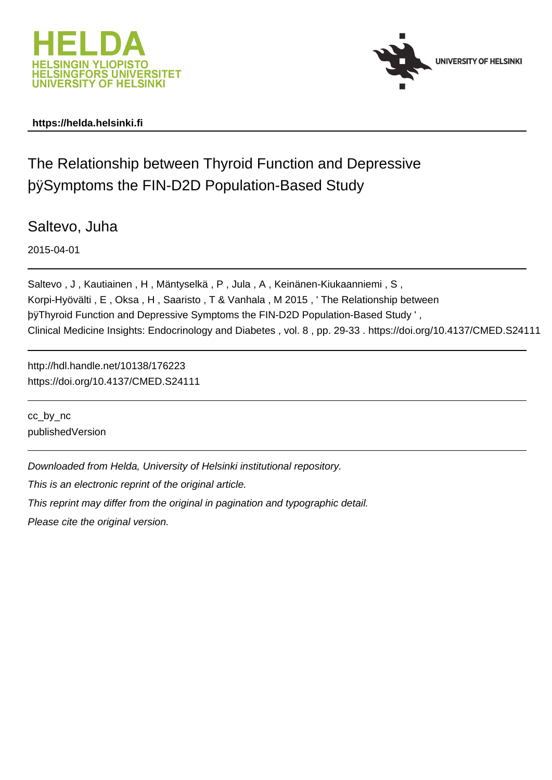



### **https://helda.helsinki.fi**

# The Relationship between Thyroid Function and Depressive þÿSymptoms the FIN-D2D Population-Based Study

Saltevo, Juha

2015-04-01

Saltevo , J , Kautiainen , H , Mäntyselkä , P , Jula , A , Keinänen-Kiukaanniemi , S , Korpi-Hyövälti , E , Oksa , H , Saaristo , T & Vanhala , M 2015 , ' The Relationship between þy Thyroid Function and Depressive Symptoms the FIN-D2D Population-Ba Clinical Medicine Insights: Endocrinology and Diabetes , vol. 8 , pp. 29-33 . https://doi.org/10.4137/CMED.S24111

http://hdl.handle.net/10138/176223 https://doi.org/10.4137/CMED.S24111

cc\_by\_nc publishedVersion

Downloaded from Helda, University of Helsinki institutional repository.

This is an electronic reprint of the original article.

This reprint may differ from the original in pagination and typographic detail.

Please cite the original version.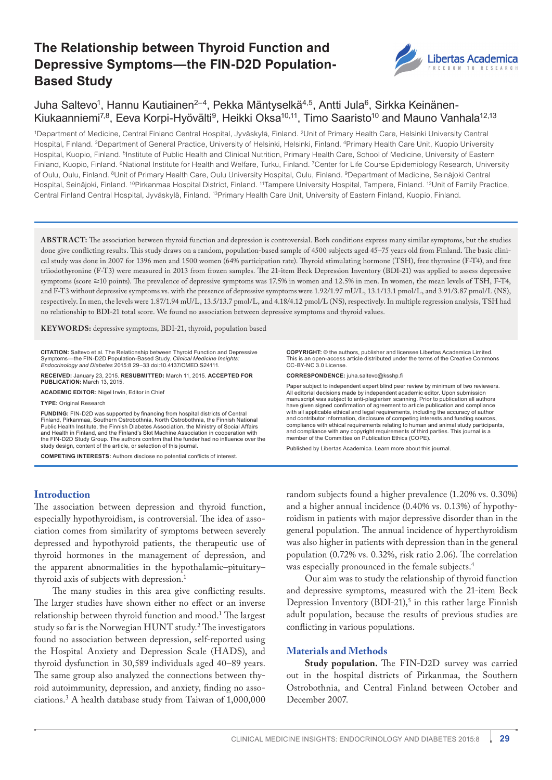# **The Relationship between Thyroid Function and Depressive Symptoms—the FIN-D2D Population-Based Study**



## Juha Saltevo<sup>1</sup>, Hannu Kautiainen<sup>2–4</sup>, Pekka Mäntyselkä<sup>4,5</sup>, Antti Jula<sup>6</sup>, Sirkka Keinänen-Kiukaanniemi<sup>7,8</sup>, Eeva Korpi-Hyövälti<sup>9</sup>, Heikki Oksa<sup>10,11</sup>, Timo Saaristo<sup>10</sup> and Mauno Vanhala<sup>12,13</sup>

1Department of Medicine, Central Finland Central Hospital, Jyväskylä, Finland. 2Unit of Primary Health Care, Helsinki University Central Hospital, Finland. <sup>3</sup>Department of General Practice, University of Helsinki, Helsinki, Finland. <sup>4</sup>Primary Health Care Unit, Kuopio University Hospital, Kuopio, Finland. <sup>5</sup>Institute of Public Health and Clinical Nutrition, Primary Health Care, School of Medicine, University of Eastern Finland, Kuopio, Finland. 6National Institute for Health and Welfare, Turku, Finland. 7Center for Life Course Epidemiology Research, University of Oulu, Oulu, Finland. 8Unit of Primary Health Care, Oulu University Hospital, Oulu, Finland. 9Department of Medicine, Seinäjoki Central Hospital, Seinäjoki, Finland. <sup>10</sup>Pirkanmaa Hospital District, Finland. <sup>11</sup>Tampere University Hospital, Tampere, Finland. <sup>12</sup>Unit of Family Practice, Central Finland Central Hospital, Jyväskylä, Finland. 13Primary Health Care Unit, University of Eastern Finland, Kuopio, Finland.

**ABSTR ACT:** The association between thyroid function and depression is controversial. Both conditions express many similar symptoms, but the studies done give conflicting results. This study draws on a random, population-based sample of 4500 subjects aged 45–75 years old from Finland. The basic clinical study was done in 2007 for 1396 men and 1500 women (64% participation rate). Thyroid stimulating hormone (TSH), free thyroxine (F-T4), and free triiodothyronine (F-T3) were measured in 2013 from frozen samples. The 21-item Beck Depression Inventory (BDI-21) was applied to assess depressive symptoms (score  $\geq$ 10 points). The prevalence of depressive symptoms was 17.5% in women and 12.5% in men. In women, the mean levels of TSH, F-T4, and F-T3 without depressive symptoms vs. with the presence of depressive symptoms were 1.92/1.97 mU/L, 13.1/13.1 pmol/L, and 3.91/3.87 pmol/L (NS), respectively. In men, the levels were 1.87/1.94 mU/L, 13.5/13.7 pmol/L, and 4.18/4.12 pmol/L (NS), respectively. In multiple regression analysis, TSH had no relationship to BDI-21 total score. We found no association between depressive symptoms and thyroid values.

**KEY WORDS:** depressive symptoms, BDI-21, thyroid, population based

**CITATION:** Saltevo et al. The Relationship between Thyroid Function and Depressive Symptoms—the FIN-D2D Population-Based Study. *Clinical Medicine Insights:* 

*Endocrinology and Diabetes* 2015:8 29–33 doi:[10.4137/CMED.S24111](http://dx.doi.org/10.4137/CMED.S24111).

**RECEIVED:** January 23, 2015. **RESUBMITTED:** March 11, 2015. **ACCEPTED FOR PUBLICATION:** March 13, 2015.

**ACADEMIC EDITOR:** Nigel Irwin, Editor in Chief

**TYPE:** Original Research

**FUNDING:** FIN-D2D was supported by financing from hospital districts of Central Finland, Pirkanmaa, Southern Ostrobothnia, North Ostrobothnia, the Finnish National Public Health Institute, the Finnish Diabetes Association, the Ministry of Social Affairs and Health in Finland, and the Finland's Slot Machine Association in cooperation with the FIN-D2D Study Group. The authors confirm that the funder had no influence over the study design, content of the article, or selection of this journal.

**COMPETING INTERESTS:** Authors disclose no potential conflicts of interest.

**Introduction**

The association between depression and thyroid function, especially hypothyroidism, is controversial. The idea of association comes from similarity of symptoms between severely depressed and hypothyroid patients, the therapeutic use of thyroid hormones in the management of depression, and the apparent abnormalities in the hypothalamic–pituitary– thyroid axis of subjects with depression.1

The many studies in this area give conflicting results. The larger studies have shown either no effect or an inverse relationship between thyroid function and mood.1 The largest study so far is the Norwegian HUNT study.<sup>2</sup> The investigators found no association between depression, self-reported using the Hospital Anxiety and Depression Scale (HADS), and thyroid dysfunction in 30,589 individuals aged 40–89 years. The same group also analyzed the connections between thyroid autoimmunity, depression, and anxiety, finding no associations.<sup>3</sup> A health database study from Taiwan of 1,000,000

**COPYRIGHT:** © the authors, publisher and licensee Libertas Academica Limited. This is an open-access article distributed under the terms of the [Creative Commons](http://creativecommons.org/licenses/by-nc/3.0/) [CC-BY-NC 3.0 License.](http://creativecommons.org/licenses/by-nc/3.0/)

**CORRESPONDENCE:** [juha.saltevo@ksshp.fi](mailto:juha.saltevo@ksshp.fi)

Paper subject to independent expert blind peer review by minimum of two reviewers. All editorial decisions made by independent academic editor. Upon submission manuscript was subject to anti-plagiarism scanning. Prior to publication all authors have given signed confirmation of agreement to article publication and compliance with all applicable ethical and legal requirements, including the accuracy of author and contributor information, disclosure of competing interests and funding sources compliance with ethical requirements relating to human and animal study participants, and compliance with any copyright requirements of third parties. This journal is a member of the Committee on Publication Ethics (COPE).

Published by [Libertas Academica.](http://www.la-press.com) Learn more about [this journal](http://www.la-press.com/clinical-medicine-insights-endocrinology-and-diabetes-journal-j65
).

random subjects found a higher prevalence (1.20% vs. 0.30%) and a higher annual incidence (0.40% vs. 0.13%) of hypothyroidism in patients with major depressive disorder than in the general population. The annual incidence of hyperthyroidism was also higher in patients with depression than in the general population (0.72% vs. 0.32%, risk ratio 2.06). The correlation was especially pronounced in the female subjects.<sup>4</sup>

Our aim was to study the relationship of thyroid function and depressive symptoms, measured with the 21-item Beck Depression Inventory (BDI-21),<sup>5</sup> in this rather large Finnish adult population, because the results of previous studies are conflicting in various populations.

#### **Materials and Methods**

**Study population.** The FIN-D2D survey was carried out in the hospital districts of Pirkanmaa, the Southern Ostrobothnia, and Central Finland between October and December 2007.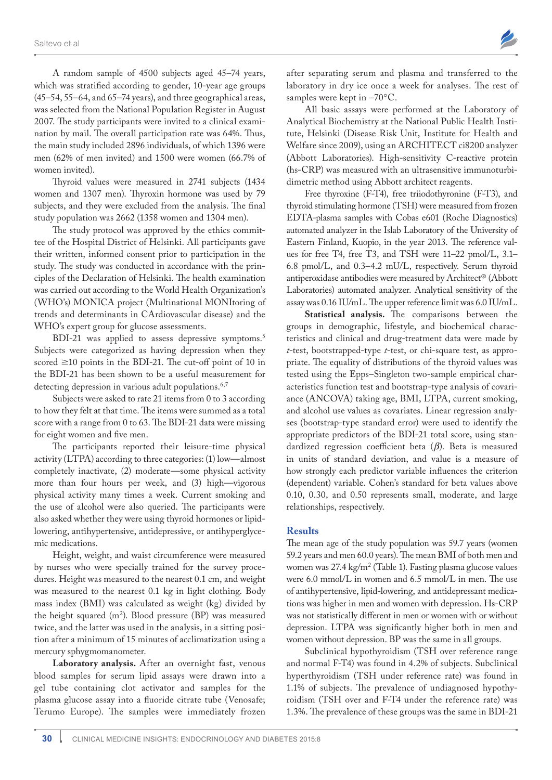A random sample of 4500 subjects aged 45–74 years, which was stratified according to gender, 10-year age groups (45–54, 55–64, and 65–74 years), and three geographical areas, was selected from the National Population Register in August 2007. The study participants were invited to a clinical examination by mail. The overall participation rate was 64%. Thus, the main study included 2896 individuals, of which 1396 were men (62% of men invited) and 1500 were women (66.7% of women invited).

Thyroid values were measured in 2741 subjects (1434 women and 1307 men). Thyroxin hormone was used by 79 subjects, and they were excluded from the analysis. The final study population was 2662 (1358 women and 1304 men).

The study protocol was approved by the ethics committee of the Hospital District of Helsinki. All participants gave their written, informed consent prior to participation in the study. The study was conducted in accordance with the principles of the Declaration of Helsinki. The health examination was carried out according to the World Health Organization's (WHO's) MONICA project (Multinational MONItoring of trends and determinants in CArdiovascular disease) and the WHO's expert group for glucose assessments.

BDI-21 was applied to assess depressive symptoms.<sup>5</sup> Subjects were categorized as having depression when they scored  $\geq$ 10 points in the BDI-21. The cut-off point of 10 in the BDI-21 has been shown to be a useful measurement for detecting depression in various adult populations.<sup>6,7</sup>

Subjects were asked to rate 21 items from 0 to 3 according to how they felt at that time. The items were summed as a total score with a range from 0 to 63. The BDI-21 data were missing for eight women and five men.

The participants reported their leisure-time physical activity (LTPA) according to three categories: (1) low—almost completely inactivate, (2) moderate—some physical activity more than four hours per week, and (3) high—vigorous physical activity many times a week. Current smoking and the use of alcohol were also queried. The participants were also asked whether they were using thyroid hormones or lipidlowering, antihypertensive, antidepressive, or antihyperglycemic medications.

Height, weight, and waist circumference were measured by nurses who were specially trained for the survey procedures. Height was measured to the nearest 0.1 cm, and weight was measured to the nearest 0.1 kg in light clothing. Body mass index (BMI) was calculated as weight (kg) divided by the height squared  $(m^2)$ . Blood pressure (BP) was measured twice, and the latter was used in the analysis, in a sitting position after a minimum of 15 minutes of acclimatization using a mercury sphygmomanometer.

**Laboratory analysis.** After an overnight fast, venous blood samples for serum lipid assays were drawn into a gel tube containing clot activator and samples for the plasma glucose assay into a fluoride citrate tube (Venosafe; Terumo Europe). The samples were immediately frozen

after separating serum and plasma and transferred to the laboratory in dry ice once a week for analyses. The rest of samples were kept in  $-70^{\circ}$ C.

All basic assays were performed at the Laboratory of Analytical Biochemistry at the National Public Health Institute, Helsinki (Disease Risk Unit, Institute for Health and Welfare since 2009), using an ARCHITECT ci8200 analyzer (Abbott Laboratories). High-sensitivity C-reactive protein (hs-CRP) was measured with an ultrasensitive immunoturbidimetric method using Abbott architect reagents.

Free thyroxine (F-T4), free triiodothyronine (F-T3), and thyroid stimulating hormone (TSH) were measured from frozen EDTA-plasma samples with Cobas e601 (Roche Diagnostics) automated analyzer in the Islab Laboratory of the University of Eastern Finland, Kuopio, in the year 2013. The reference values for free T4, free T3, and TSH were 11–22 pmol/L, 3.1– 6.8 pmol/L, and 0.3–4.2 mU/L, respectively. Serum thyroid antiperoxidase antibodies were measured by Architect® (Abbott Laboratories) automated analyzer. Analytical sensitivity of the assay was 0.16 IU/mL. The upper reference limit was 6.0 IU/mL.

**Statistical analysis.** The comparisons between the groups in demographic, lifestyle, and biochemical characteristics and clinical and drug-treatment data were made by *t*-test, bootstrapped-type *t*-test, or chi-square test, as appropriate. The equality of distributions of the thyroid values was tested using the Epps–Singleton two-sample empirical characteristics function test and bootstrap-type analysis of covariance (ANCOVA) taking age, BMI, LTPA, current smoking, and alcohol use values as covariates. Linear regression analyses (bootstrap-type standard error) were used to identify the appropriate predictors of the BDI-21 total score, using standardized regression coefficient beta (*β*). Beta is measured in units of standard deviation, and value is a measure of how strongly each predictor variable influences the criterion (dependent) variable. Cohen's standard for beta values above 0.10, 0.30, and 0.50 represents small, moderate, and large relationships, respectively.

#### **Results**

The mean age of the study population was 59.7 years (women 59.2 years and men 60.0 years). The mean BMI of both men and women was 27.4 kg/m<sup>2</sup> (Table 1). Fasting plasma glucose values were 6.0 mmol/L in women and 6.5 mmol/L in men. The use of antihypertensive, lipid-lowering, and antidepressant medications was higher in men and women with depression. Hs-CRP was not statistically different in men or women with or without depression. LTPA was significantly higher both in men and women without depression. BP was the same in all groups.

Subclinical hypothyroidism (TSH over reference range and normal F-T4) was found in 4.2% of subjects. Subclinical hyperthyroidism (TSH under reference rate) was found in 1.1% of subjects. The prevalence of undiagnosed hypothyroidism (TSH over and F-T4 under the reference rate) was 1.3%. The prevalence of these groups was the same in BDI-21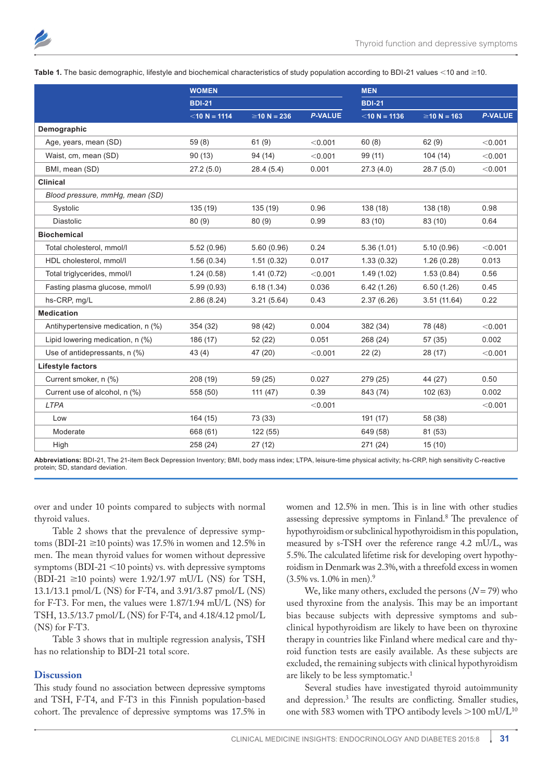

Table 1. The basic demographic, lifestyle and biochemical characteristics of study population according to BDI-21 values <10 and ≥10.

|                                    | <b>WOMEN</b>    |                   |                | <b>MEN</b>      |                   |                |  |
|------------------------------------|-----------------|-------------------|----------------|-----------------|-------------------|----------------|--|
|                                    | <b>BDI-21</b>   |                   |                | <b>BDI-21</b>   |                   |                |  |
|                                    | $<$ 10 N = 1114 | $\geq$ 10 N = 236 | <b>P-VALUE</b> | $<$ 10 N = 1136 | $\geq$ 10 N = 163 | <b>P-VALUE</b> |  |
| Demographic                        |                 |                   |                |                 |                   |                |  |
| Age, years, mean (SD)              | 59(8)           | 61(9)             | < 0.001        | 60(8)           | 62(9)             | < 0.001        |  |
| Waist, cm, mean (SD)               | 90(13)          | 94 (14)           | < 0.001        | 99 (11)         | 104(14)           | < 0.001        |  |
| BMI, mean (SD)                     | 27.2(5.0)       | 28.4(5.4)         | 0.001          | 27.3(4.0)       | 28.7(5.0)         | < 0.001        |  |
| <b>Clinical</b>                    |                 |                   |                |                 |                   |                |  |
| Blood pressure, mmHg, mean (SD)    |                 |                   |                |                 |                   |                |  |
| Systolic                           | 135 (19)        | 135 (19)          | 0.96           | 138 (18)        | 138 (18)          | 0.98           |  |
| <b>Diastolic</b>                   | 80(9)           | 80(9)             | 0.99           | 83 (10)         | 83 (10)           | 0.64           |  |
| <b>Biochemical</b>                 |                 |                   |                |                 |                   |                |  |
| Total cholesterol, mmol/l          | 5.52(0.96)      | 5.60(0.96)        | 0.24           | 5.36(1.01)      | 5.10(0.96)        | < 0.001        |  |
| HDL cholesterol, mmol/l            | 1.56(0.34)      | 1.51(0.32)        | 0.017          | 1.33(0.32)      | 1.26(0.28)        | 0.013          |  |
| Total triglycerides, mmol/l        | 1.24(0.58)      | 1.41(0.72)        | < 0.001        | 1.49(1.02)      | 1.53(0.84)        | 0.56           |  |
| Fasting plasma glucose, mmol/l     | 5.99(0.93)      | 6.18(1.34)        | 0.036          | 6.42(1.26)      | 6.50(1.26)        | 0.45           |  |
| hs-CRP, mg/L                       | 2.86(8.24)      | 3.21(5.64)        | 0.43           | 2.37(6.26)      | 3.51(11.64)       | 0.22           |  |
| <b>Medication</b>                  |                 |                   |                |                 |                   |                |  |
| Antihypertensive medication, n (%) | 354 (32)        | 98 (42)           | 0.004          | 382 (34)        | 78 (48)           | < 0.001        |  |
| Lipid lowering medication, n (%)   | 186 (17)        | 52 (22)           | 0.051          | 268 (24)        | 57 (35)           | 0.002          |  |
| Use of antidepressants, n (%)      | 43 (4)          | 47 (20)           | < 0.001        | 22(2)           | 28 (17)           | < 0.001        |  |
| Lifestyle factors                  |                 |                   |                |                 |                   |                |  |
| Current smoker, n (%)              | 208 (19)        | 59 (25)           | 0.027          | 279 (25)        | 44 (27)           | 0.50           |  |
| Current use of alcohol, n (%)      | 558 (50)        | 111(47)           | 0.39           | 843 (74)        | 102(63)           | 0.002          |  |
| <b>LTPA</b>                        |                 |                   | < 0.001        |                 |                   | < 0.001        |  |
| Low                                | 164(15)         | 73 (33)           |                | 191 (17)        | 58 (38)           |                |  |
| Moderate                           | 668 (61)        | 122 (55)          |                | 649 (58)        | 81 (53)           |                |  |
| High                               | 258 (24)        | 27 (12)           |                | 271 (24)        | 15(10)            |                |  |

**Abbreviations:** BDI-21, The 21-item Beck Depression Inventory; BMI, body mass index; LTPA, leisure-time physical activity; hs-CRP, high sensitivity C-reactive protein; SD, standard deviation.

over and under 10 points compared to subjects with normal thyroid values.

Table 2 shows that the prevalence of depressive symptoms (BDI-21  $\geq$ 10 points) was 17.5% in women and 12.5% in men. The mean thyroid values for women without depressive symptoms (BDI-21  $\leq$ 10 points) vs. with depressive symptoms (BDI-21  $\geq$ 10 points) were 1.92/1.97 mU/L (NS) for TSH, 13.1/13.1 pmol/L (NS) for F-T4, and 3.91/3.87 pmol/L (NS) for F-T3. For men, the values were 1.87/1.94 mU/L (NS) for TSH, 13.5/13.7 pmol/L (NS) for F-T4, and 4.18/4.12 pmol/L (NS) for F-T3.

Table 3 shows that in multiple regression analysis, TSH has no relationship to BDI-21 total score.

#### **Discussion**

This study found no association between depressive symptoms and TSH, F-T4, and F-T3 in this Finnish population-based cohort. The prevalence of depressive symptoms was 17.5% in women and 12.5% in men. This is in line with other studies assessing depressive symptoms in Finland.8 The prevalence of hypothyroidism or subclinical hypothyroidism in this population, measured by s-TSH over the reference range 4.2 mU/L, was 5.5%. The calculated lifetime risk for developing overt hypothyroidism in Denmark was 2.3%, with a threefold excess in women  $(3.5\% \text{ vs. } 1.0\% \text{ in men}).$ <sup>9</sup>

We, like many others, excluded the persons  $(N = 79)$  who used thyroxine from the analysis. This may be an important bias because subjects with depressive symptoms and subclinical hypothyroidism are likely to have been on thyroxine therapy in countries like Finland where medical care and thyroid function tests are easily available. As these subjects are excluded, the remaining subjects with clinical hypothyroidism are likely to be less symptomatic.<sup>1</sup>

Several studies have investigated thyroid autoimmunity and depression.3 The results are conflicting. Smaller studies, one with 583 women with TPO antibody levels  $>$  100 mU/L<sup>10</sup>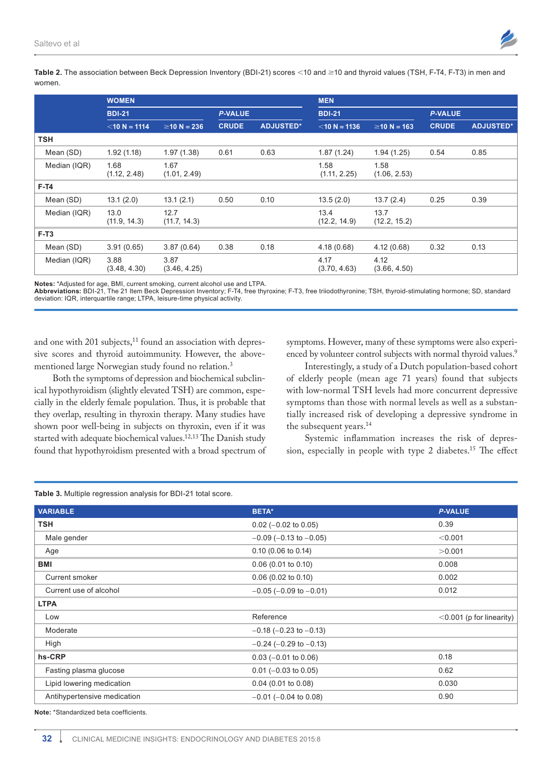

Table 2. The association between Beck Depression Inventory (BDI-21) scores <10 and ≥10 and thyroid values (TSH, F-T4, F-T3) in men and women.

|              | <b>WOMEN</b>         |                      |                |                  | <b>MEN</b>           |                      |                |                  |
|--------------|----------------------|----------------------|----------------|------------------|----------------------|----------------------|----------------|------------------|
|              | <b>BDI-21</b>        |                      | <b>P-VALUE</b> |                  | <b>BDI-21</b>        |                      | <b>P-VALUE</b> |                  |
|              | $<$ 10 N = 1114      | $\geq$ 10 N = 236    | <b>CRUDE</b>   | <b>ADJUSTED*</b> | $<$ 10 N = 1136      | $\geq$ 10 N = 163    | <b>CRUDE</b>   | <b>ADJUSTED*</b> |
| <b>TSH</b>   |                      |                      |                |                  |                      |                      |                |                  |
| Mean (SD)    | 1.92(1.18)           | 1.97(1.38)           | 0.61           | 0.63             | 1.87(1.24)           | 1.94(1.25)           | 0.54           | 0.85             |
| Median (IQR) | 1.68<br>(1.12, 2.48) | 1.67<br>(1.01, 2.49) |                |                  | 1.58<br>(1.11, 2.25) | 1.58<br>(1.06, 2.53) |                |                  |
| $F-T4$       |                      |                      |                |                  |                      |                      |                |                  |
| Mean (SD)    | 13.1(2.0)            | 13.1(2.1)            | 0.50           | 0.10             | 13.5(2.0)            | 13.7(2.4)            | 0.25           | 0.39             |
| Median (IQR) | 13.0<br>(11.9, 14.3) | 12.7<br>(11.7, 14.3) |                |                  | 13.4<br>(12.2, 14.9) | 13.7<br>(12.2, 15.2) |                |                  |
| $F-T3$       |                      |                      |                |                  |                      |                      |                |                  |
| Mean (SD)    | 3.91(0.65)           | 3.87(0.64)           | 0.38           | 0.18             | 4.18(0.68)           | 4.12(0.68)           | 0.32           | 0.13             |
| Median (IQR) | 3.88<br>(3.48, 4.30) | 3.87<br>(3.46, 4.25) |                |                  | 4.17<br>(3.70, 4.63) | 4.12<br>(3.66, 4.50) |                |                  |

**Notes:** \*Adjusted for age, BMI, current smoking, current alcohol use and LTPA.

**Abbreviations:** BDI-21, The 21 Item Beck Depression Inventory; F-T4, free thyroxine; F-T3, free triiodothyronine; TSH, thyroid-stimulating hormone; SD, standard deviation: IQR, interquartile range; LTPA, leisure-time physical activity.

and one with 201 subjects,<sup>11</sup> found an association with depressive scores and thyroid autoimmunity. However, the abovementioned large Norwegian study found no relation.3

symptoms. However, many of these symptoms were also experienced by volunteer control subjects with normal thyroid values.<sup>9</sup>

Both the symptoms of depression and biochemical subclinical hypothyroidism (slightly elevated TSH) are common, especially in the elderly female population. Thus, it is probable that they overlap, resulting in thyroxin therapy. Many studies have shown poor well-being in subjects on thyroxin, even if it was started with adequate biochemical values.12,13 The Danish study found that hypothyroidism presented with a broad spectrum of

Interestingly, a study of a Dutch population-based cohort of elderly people (mean age 71 years) found that subjects with low-normal TSH levels had more concurrent depressive symptoms than those with normal levels as well as a substantially increased risk of developing a depressive syndrome in the subsequent years.<sup>14</sup>

Systemic inflammation increases the risk of depression, especially in people with type 2 diabetes.15 The effect

| <b>VARIABLE</b>             | <b>BETA*</b>                   | <b>P-VALUE</b>              |
|-----------------------------|--------------------------------|-----------------------------|
| <b>TSH</b>                  | $0.02$ (-0.02 to 0.05)         | 0.39                        |
| Male gender                 | $-0.09$ ( $-0.13$ to $-0.05$ ) | < 0.001                     |
| Age                         | $0.10$ (0.06 to 0.14)          | >0.001                      |
| BMI                         | $0.06$ (0.01 to 0.10)          | 0.008                       |
| Current smoker              | $0.06$ (0.02 to 0.10)          | 0.002                       |
| Current use of alcohol      | $-0.05$ ( $-0.09$ to $-0.01$ ) | 0.012                       |
| <b>LTPA</b>                 |                                |                             |
| Low                         | Reference                      | $<$ 0.001 (p for linearity) |
| Moderate                    | $-0.18$ ( $-0.23$ to $-0.13$ ) |                             |
| High                        | $-0.24$ ( $-0.29$ to $-0.13$ ) |                             |
| hs-CRP                      | $0.03$ (-0.01 to 0.06)         | 0.18                        |
| Fasting plasma glucose      | $0.01$ (-0.03 to 0.05)         | 0.62                        |
| Lipid lowering medication   | $0.04$ (0.01 to 0.08)          | 0.030                       |
| Antihypertensive medication | $-0.01$ ( $-0.04$ to 0.08)     | 0.90                        |
|                             |                                |                             |

**Table 3.** Multiple regression analysis for BDI-21 total score.

**Note:** \*Standardized beta coefficients.